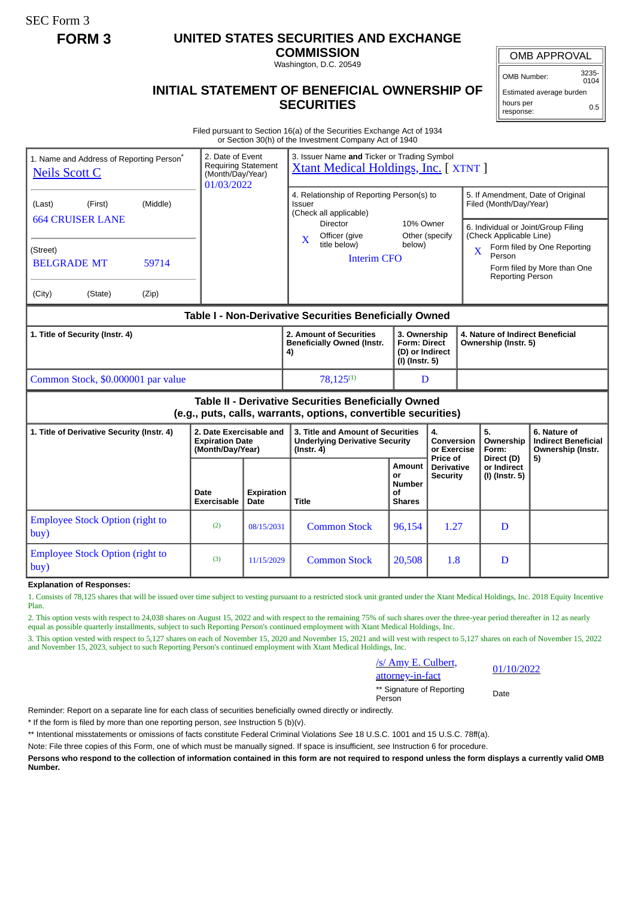SEC Form 3

## **FORM 3 UNITED STATES SECURITIES AND EXCHANGE**

**COMMISSION** Washington, D.C. 20549

OMB APPROVAL

OMB Number: 3235-  $0104$ 

## **INITIAL STATEMENT OF BENEFICIAL OWNERSHIP OF SECURITIES**

Estimated average burden hours per response: 0.5

Filed pursuant to Section 16(a) of the Securities Exchange Act of 1934 or Section 30(h) of the Investment Company Act of 1940

| 1. Name and Address of Reporting Person <sup>®</sup><br><b>Neils Scott C</b>                                          | 2. Date of Event<br><b>Requiring Statement</b><br>(Month/Day/Year)<br>01/03/2022 |                           | 3. Issuer Name and Ticker or Trading Symbol<br><b>Xtant Medical Holdings, Inc.</b> [XTNT ]                                                                               |                                                                  |                                      |  |                                                                                                                                                                              |                                                                       |  |
|-----------------------------------------------------------------------------------------------------------------------|----------------------------------------------------------------------------------|---------------------------|--------------------------------------------------------------------------------------------------------------------------------------------------------------------------|------------------------------------------------------------------|--------------------------------------|--|------------------------------------------------------------------------------------------------------------------------------------------------------------------------------|-----------------------------------------------------------------------|--|
| (Middle)<br>(Last)<br>(First)<br><b>664 CRUISER LANE</b><br>(Street)                                                  |                                                                                  |                           | 4. Relationship of Reporting Person(s) to<br>Issuer<br>(Check all applicable)<br>Director<br>10% Owner<br>Officer (give<br>Other (specify<br>X<br>title below)<br>below) |                                                                  |                                      |  | 5. If Amendment, Date of Original<br>Filed (Month/Day/Year)<br>6. Individual or Joint/Group Filing<br>(Check Applicable Line)<br>Form filed by One Reporting<br>$\mathbf{X}$ |                                                                       |  |
| 59714<br><b>BELGRADE MT</b>                                                                                           |                                                                                  |                           | <b>Interim CFO</b>                                                                                                                                                       |                                                                  |                                      |  | Person<br><b>Reporting Person</b>                                                                                                                                            | Form filed by More than One                                           |  |
| (City)<br>(State)<br>(Zip)                                                                                            |                                                                                  |                           |                                                                                                                                                                          |                                                                  |                                      |  |                                                                                                                                                                              |                                                                       |  |
| Table I - Non-Derivative Securities Beneficially Owned                                                                |                                                                                  |                           |                                                                                                                                                                          |                                                                  |                                      |  |                                                                                                                                                                              |                                                                       |  |
| 1. Title of Security (Instr. 4)                                                                                       |                                                                                  |                           | 2. Amount of Securities<br><b>Beneficially Owned (Instr.</b><br>4)                                                                                                       | 3. Ownership<br><b>Form: Direct</b><br>(I) (Instr. 5)            | (D) or Indirect                      |  | 4. Nature of Indirect Beneficial<br>Ownership (Instr. 5)                                                                                                                     |                                                                       |  |
| Common Stock, \$0.000001 par value                                                                                    |                                                                                  |                           | $78,125^{(1)}$                                                                                                                                                           |                                                                  | D                                    |  |                                                                                                                                                                              |                                                                       |  |
| Table II - Derivative Securities Beneficially Owned<br>(e.g., puts, calls, warrants, options, convertible securities) |                                                                                  |                           |                                                                                                                                                                          |                                                                  |                                      |  |                                                                                                                                                                              |                                                                       |  |
| 1. Title of Derivative Security (Instr. 4)                                                                            | 2. Date Exercisable and<br><b>Expiration Date</b><br>(Month/Day/Year)            |                           | 3. Title and Amount of Securities<br><b>Underlying Derivative Security</b><br>$($ lnstr. 4 $)$                                                                           | $\overline{4}$ .<br><b>Conversion</b><br>or Exercise<br>Price of |                                      |  | 5.<br>Ownership<br>Form:                                                                                                                                                     | 6. Nature of<br><b>Indirect Beneficial</b><br>Ownership (Instr.<br>5) |  |
|                                                                                                                       | Date<br>Exercisable                                                              | <b>Expiration</b><br>Date | <b>Title</b>                                                                                                                                                             | Amount<br>or<br><b>Number</b><br>Οf<br><b>Shares</b>             | <b>Derivative</b><br><b>Security</b> |  | Direct (D)<br>or Indirect<br>(I) (Instr. 5)                                                                                                                                  |                                                                       |  |
| <b>Employee Stock Option (right to</b><br>buy)                                                                        | (2)                                                                              | 08/15/2031                | <b>Common Stock</b>                                                                                                                                                      | 96,154                                                           | 1.27                                 |  | D                                                                                                                                                                            |                                                                       |  |
| <b>Employee Stock Option (right to</b><br>buy)                                                                        | (3)                                                                              | 11/15/2029                | <b>Common Stock</b>                                                                                                                                                      | 20,508                                                           | 1.8                                  |  | D                                                                                                                                                                            |                                                                       |  |

## **Explanation of Responses:**

1. Consists of 78,125 shares that will be issued over time subject to vesting pursuant to a restricted stock unit granted under the Xtant Medical Holdings, Inc. 2018 Equity Incentive Plan.

2. This option vests with respect to 24,038 shares on August 15, 2022 and with respect to the remaining 75% of such shares over the three-year period thereafter in 12 as nearly equal as possible quarterly installments, subject to such Reporting Person's continued employment with Xtant Medical Holdings, Inc.

3. This option vested with respect to 5,127 shares on each of November 15, 2020 and November 15, 2021 and will vest with respect to 5,127 shares on each of November 15, 2022 and November 15, 2023, subject to such Reporting Person's continued employment with Xtant Medical Holdings, Inc.

| /s/ Amy E. Culbert,       |  |  |  |  |  |
|---------------------------|--|--|--|--|--|
| attorney-in-fact          |  |  |  |  |  |
| ** Signature of Reporting |  |  |  |  |  |

01/10/2022

\*\* Signature of Reporting<br>Person

Reminder: Report on a separate line for each class of securities beneficially owned directly or indirectly.

\* If the form is filed by more than one reporting person, *see* Instruction 5 (b)(v).

\*\* Intentional misstatements or omissions of facts constitute Federal Criminal Violations *See* 18 U.S.C. 1001 and 15 U.S.C. 78ff(a).

Note: File three copies of this Form, one of which must be manually signed. If space is insufficient, *see* Instruction 6 for procedure.

**Persons who respond to the collection of information contained in this form are not required to respond unless the form displays a currently valid OMB Number.**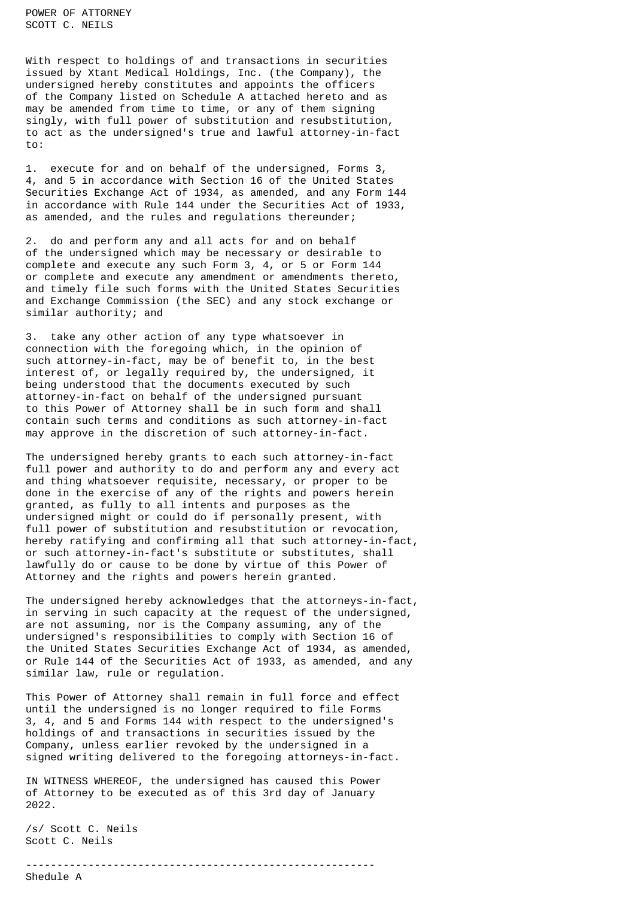POWER OF ATTORNEY SCOTT C. NEILS

With respect to holdings of and transactions in securities issued by Xtant Medical Holdings, Inc. (the Company), the undersigned hereby constitutes and appoints the officers of the Company listed on Schedule A attached hereto and as may be amended from time to time, or any of them signing singly, with full power of substitution and resubstitution, to act as the undersigned's true and lawful attorney-in-fact to:

1. execute for and on behalf of the undersigned, Forms 3, 4, and 5 in accordance with Section 16 of the United States Securities Exchange Act of 1934, as amended, and any Form 144 in accordance with Rule 144 under the Securities Act of 1933, as amended, and the rules and regulations thereunder;

2. do and perform any and all acts for and on behalf of the undersigned which may be necessary or desirable to complete and execute any such Form 3, 4, or 5 or Form 144 or complete and execute any amendment or amendments thereto, and timely file such forms with the United States Securities and Exchange Commission (the SEC) and any stock exchange or similar authority; and

3. take any other action of any type whatsoever in connection with the foregoing which, in the opinion of such attorney-in-fact, may be of benefit to, in the best interest of, or legally required by, the undersigned, it being understood that the documents executed by such attorney-in-fact on behalf of the undersigned pursuant to this Power of Attorney shall be in such form and shall contain such terms and conditions as such attorney-in-fact may approve in the discretion of such attorney-in-fact.

The undersigned hereby grants to each such attorney-in-fact full power and authority to do and perform any and every act and thing whatsoever requisite, necessary, or proper to be done in the exercise of any of the rights and powers herein granted, as fully to all intents and purposes as the undersigned might or could do if personally present, with full power of substitution and resubstitution or revocation, hereby ratifying and confirming all that such attorney-in-fact, or such attorney-in-fact's substitute or substitutes, shall lawfully do or cause to be done by virtue of this Power of Attorney and the rights and powers herein granted.

The undersigned hereby acknowledges that the attorneys-in-fact, in serving in such capacity at the request of the undersigned, are not assuming, nor is the Company assuming, any of the undersigned's responsibilities to comply with Section 16 of the United States Securities Exchange Act of 1934, as amended, or Rule 144 of the Securities Act of 1933, as amended, and any similar law, rule or regulation.

This Power of Attorney shall remain in full force and effect until the undersigned is no longer required to file Forms 3, 4, and 5 and Forms 144 with respect to the undersigned's holdings of and transactions in securities issued by the Company, unless earlier revoked by the undersigned in a signed writing delivered to the foregoing attorneys-in-fact.

IN WITNESS WHEREOF, the undersigned has caused this Power of Attorney to be executed as of this 3rd day of January 2022.

--------------------------------------------------------

/s/ Scott C. Neils Scott C. Neils

Shedule A